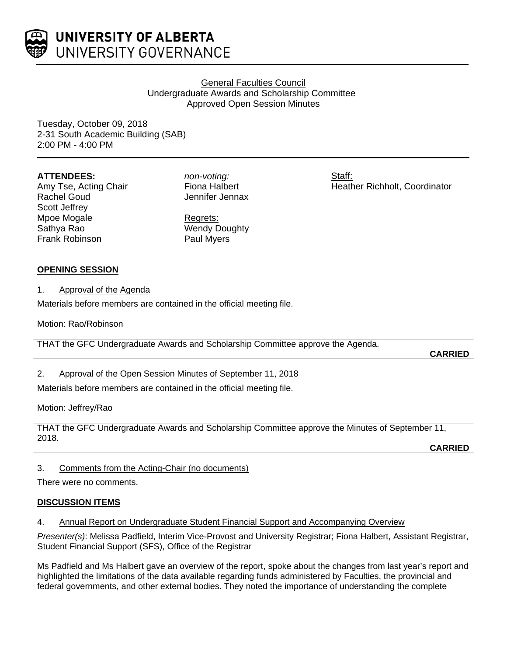

## General Faculties Council Undergraduate Awards and Scholarship Committee Approved Open Session Minutes

Staff:

Heather Richholt, Coordinator

Tuesday, October 09, 2018 2-31 South Academic Building (SAB) 2:00 PM - 4:00 PM

### **ATTENDEES:**

Amy Tse, Acting Chair Rachel Goud Scott Jeffrey Mpoe Mogale Sathya Rao Frank Robinson

*non-voting:* Fiona Halbert Jennifer Jennax

Regrets: Wendy Doughty Paul Myers

**OPENING SESSION**

1. Approval of the Agenda

Materials before members are contained in the official meeting file.

Motion: Rao/Robinson

THAT the GFC Undergraduate Awards and Scholarship Committee approve the Agenda.

**CARRIED**

## 2. Approval of the Open Session Minutes of September 11, 2018

Materials before members are contained in the official meeting file.

Motion: Jeffrey/Rao

THAT the GFC Undergraduate Awards and Scholarship Committee approve the Minutes of September 11, 2018.

**CARRIED**

3. Comments from the Acting-Chair (no documents)

There were no comments.

## **DISCUSSION ITEMS**

4. Annual Report on Undergraduate Student Financial Support and Accompanying Overview

*Presenter(s)*: Melissa Padfield, Interim Vice-Provost and University Registrar; Fiona Halbert, Assistant Registrar, Student Financial Support (SFS), Office of the Registrar

Ms Padfield and Ms Halbert gave an overview of the report, spoke about the changes from last year's report and highlighted the limitations of the data available regarding funds administered by Faculties, the provincial and federal governments, and other external bodies. They noted the importance of understanding the complete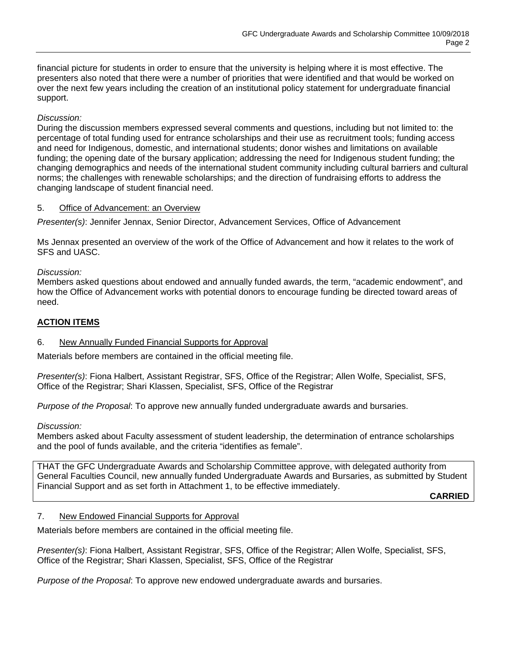financial picture for students in order to ensure that the university is helping where it is most effective. The presenters also noted that there were a number of priorities that were identified and that would be worked on over the next few years including the creation of an institutional policy statement for undergraduate financial support.

### *Discussion:*

During the discussion members expressed several comments and questions, including but not limited to: the percentage of total funding used for entrance scholarships and their use as recruitment tools; funding access and need for Indigenous, domestic, and international students; donor wishes and limitations on available funding; the opening date of the bursary application; addressing the need for Indigenous student funding; the changing demographics and needs of the international student community including cultural barriers and cultural norms; the challenges with renewable scholarships; and the direction of fundraising efforts to address the changing landscape of student financial need.

#### 5. Office of Advancement: an Overview

*Presenter(s)*: Jennifer Jennax, Senior Director, Advancement Services, Office of Advancement

Ms Jennax presented an overview of the work of the Office of Advancement and how it relates to the work of SFS and UASC.

*Discussion:*

Members asked questions about endowed and annually funded awards, the term, "academic endowment", and how the Office of Advancement works with potential donors to encourage funding be directed toward areas of need.

### **ACTION ITEMS**

#### 6. New Annually Funded Financial Supports for Approval

Materials before members are contained in the official meeting file.

*Presenter(s)*: Fiona Halbert, Assistant Registrar, SFS, Office of the Registrar; Allen Wolfe, Specialist, SFS, Office of the Registrar; Shari Klassen, Specialist, SFS, Office of the Registrar

*Purpose of the Proposal*: To approve new annually funded undergraduate awards and bursaries.

*Discussion:*

Members asked about Faculty assessment of student leadership, the determination of entrance scholarships and the pool of funds available, and the criteria "identifies as female".

THAT the GFC Undergraduate Awards and Scholarship Committee approve, with delegated authority from General Faculties Council, new annually funded Undergraduate Awards and Bursaries, as submitted by Student Financial Support and as set forth in Attachment 1, to be effective immediately.

**CARRIED**

#### 7. New Endowed Financial Supports for Approval

Materials before members are contained in the official meeting file.

*Presenter(s)*: Fiona Halbert, Assistant Registrar, SFS, Office of the Registrar; Allen Wolfe, Specialist, SFS, Office of the Registrar; Shari Klassen, Specialist, SFS, Office of the Registrar

*Purpose of the Proposal*: To approve new endowed undergraduate awards and bursaries.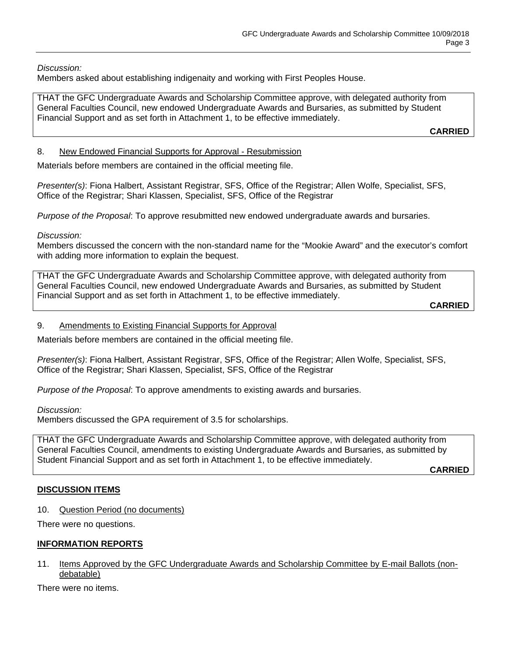*Discussion:*

Members asked about establishing indigenaity and working with First Peoples House.

THAT the GFC Undergraduate Awards and Scholarship Committee approve, with delegated authority from General Faculties Council, new endowed Undergraduate Awards and Bursaries, as submitted by Student Financial Support and as set forth in Attachment 1, to be effective immediately.

**CARRIED**

### 8. New Endowed Financial Supports for Approval - Resubmission

Materials before members are contained in the official meeting file.

*Presenter(s)*: Fiona Halbert, Assistant Registrar, SFS, Office of the Registrar; Allen Wolfe, Specialist, SFS, Office of the Registrar; Shari Klassen, Specialist, SFS, Office of the Registrar

*Purpose of the Proposal*: To approve resubmitted new endowed undergraduate awards and bursaries.

*Discussion:*

Members discussed the concern with the non-standard name for the "Mookie Award" and the executor's comfort with adding more information to explain the bequest.

THAT the GFC Undergraduate Awards and Scholarship Committee approve, with delegated authority from General Faculties Council, new endowed Undergraduate Awards and Bursaries, as submitted by Student Financial Support and as set forth in Attachment 1, to be effective immediately.

```
CARRIED
```
### 9. Amendments to Existing Financial Supports for Approval

Materials before members are contained in the official meeting file.

*Presenter(s)*: Fiona Halbert, Assistant Registrar, SFS, Office of the Registrar; Allen Wolfe, Specialist, SFS, Office of the Registrar; Shari Klassen, Specialist, SFS, Office of the Registrar

*Purpose of the Proposal*: To approve amendments to existing awards and bursaries.

*Discussion:*

Members discussed the GPA requirement of 3.5 for scholarships.

THAT the GFC Undergraduate Awards and Scholarship Committee approve, with delegated authority from General Faculties Council, amendments to existing Undergraduate Awards and Bursaries, as submitted by Student Financial Support and as set forth in Attachment 1, to be effective immediately.

**CARRIED**

#### **DISCUSSION ITEMS**

10. Question Period (no documents)

There were no questions.

## **INFORMATION REPORTS**

#### 11. Items Approved by the GFC Undergraduate Awards and Scholarship Committee by E-mail Ballots (nondebatable)

There were no items.